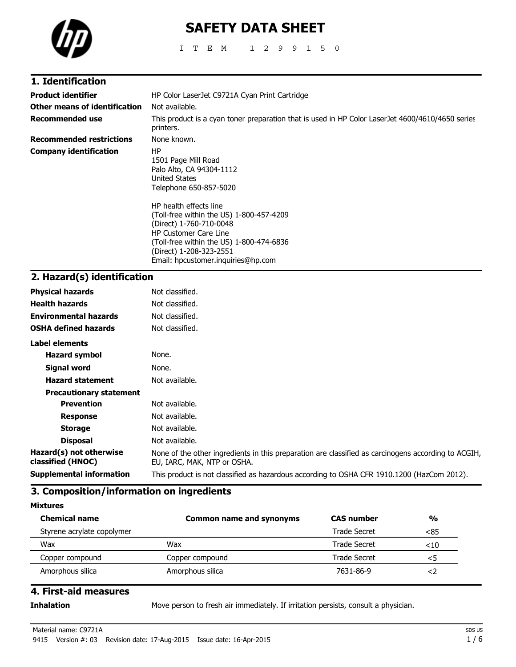

# **SAFETY DATA SHEET**

ITEM 1299150

| 1. Identification               |                                                                                                                                                                                                                                            |
|---------------------------------|--------------------------------------------------------------------------------------------------------------------------------------------------------------------------------------------------------------------------------------------|
| <b>Product identifier</b>       | HP Color LaserJet C9721A Cyan Print Cartridge                                                                                                                                                                                              |
| Other means of identification   | Not available.                                                                                                                                                                                                                             |
| <b>Recommended use</b>          | This product is a cyan toner preparation that is used in HP Color LaserJet 4600/4610/4650 series<br>printers.                                                                                                                              |
| <b>Recommended restrictions</b> | None known.                                                                                                                                                                                                                                |
| <b>Company identification</b>   | ΗP<br>1501 Page Mill Road<br>Palo Alto, CA 94304-1112<br>United States<br>Telephone 650-857-5020                                                                                                                                           |
|                                 | HP health effects line<br>(Toll-free within the US) 1-800-457-4209<br>(Direct) 1-760-710-0048<br><b>HP Customer Care Line</b><br>(Toll-free within the US) 1-800-474-6836<br>(Direct) 1-208-323-2551<br>Email: hpcustomer.inquiries@hp.com |

# **2. Hazard(s) identification**

| <b>Physical hazards</b>                      | Not classified.                                                                                                                    |
|----------------------------------------------|------------------------------------------------------------------------------------------------------------------------------------|
| <b>Health hazards</b>                        | Not classified.                                                                                                                    |
| <b>Environmental hazards</b>                 | Not classified.                                                                                                                    |
| <b>OSHA defined hazards</b>                  | Not classified.                                                                                                                    |
| Label elements                               |                                                                                                                                    |
| <b>Hazard symbol</b>                         | None.                                                                                                                              |
| Signal word                                  | None.                                                                                                                              |
| <b>Hazard statement</b>                      | Not available.                                                                                                                     |
| <b>Precautionary statement</b>               |                                                                                                                                    |
| <b>Prevention</b>                            | Not available.                                                                                                                     |
| <b>Response</b>                              | Not available.                                                                                                                     |
| <b>Storage</b>                               | Not available.                                                                                                                     |
| <b>Disposal</b>                              | Not available.                                                                                                                     |
| Hazard(s) not otherwise<br>classified (HNOC) | None of the other ingredients in this preparation are classified as carcinogens according to ACGIH,<br>EU, IARC, MAK, NTP or OSHA. |
| <b>Supplemental information</b>              | This product is not classified as hazardous according to OSHA CFR 1910.1200 (HazCom 2012).                                         |
|                                              |                                                                                                                                    |

# **3. Composition/information on ingredients**

**Mixtures**

| <b>Chemical name</b>       | <b>Common name and synonyms</b> | <b>CAS number</b> | $\frac{0}{0}$ |
|----------------------------|---------------------------------|-------------------|---------------|
| Styrene acrylate copolymer |                                 | Trade Secret      | <85           |
| Wax                        | Wax                             | Trade Secret      | $<$ 10        |
| Copper compound            | Copper compound                 | Trade Secret      |               |
| Amorphous silica           | Amorphous silica                | 7631-86-9         |               |

## **4. First-aid measures**

**Inhalation** Move person to fresh air immediately. If irritation persists, consult a physician.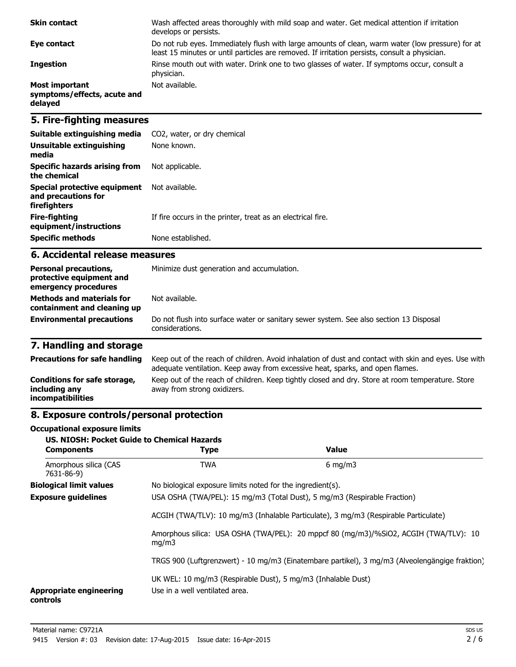| <b>Skin contact</b>                                             | Wash affected areas thoroughly with mild soap and water. Get medical attention if irritation<br>develops or persists.                                                                             |
|-----------------------------------------------------------------|---------------------------------------------------------------------------------------------------------------------------------------------------------------------------------------------------|
| Eye contact                                                     | Do not rub eyes. Immediately flush with large amounts of clean, warm water (low pressure) for at<br>least 15 minutes or until particles are removed. If irritation persists, consult a physician. |
| <b>Ingestion</b>                                                | Rinse mouth out with water. Drink one to two glasses of water. If symptoms occur, consult a<br>physician.                                                                                         |
| <b>Most important</b><br>symptoms/effects, acute and<br>delayed | Not available.                                                                                                                                                                                    |

# **5. Fire-fighting measures**

| Suitable extinguishing media                                        | CO2, water, or dry chemical                                 |
|---------------------------------------------------------------------|-------------------------------------------------------------|
| Unsuitable extinguishing<br>media                                   | None known.                                                 |
| Specific hazards arising from<br>the chemical                       | Not applicable.                                             |
| Special protective equipment<br>and precautions for<br>firefighters | Not available.                                              |
| Fire-fighting<br>equipment/instructions                             | If fire occurs in the printer, treat as an electrical fire. |
| <b>Specific methods</b>                                             | None established.                                           |

### **6. Accidental release measures**

| <b>Personal precautions,</b><br>protective equipment and<br>emergency procedures | Minimize dust generation and accumulation.                                                                |  |
|----------------------------------------------------------------------------------|-----------------------------------------------------------------------------------------------------------|--|
| <b>Methods and materials for</b><br>containment and cleaning up                  | Not available.                                                                                            |  |
| <b>Environmental precautions</b>                                                 | Do not flush into surface water or sanitary sewer system. See also section 13 Disposal<br>considerations. |  |

# **7. Handling and storage**

| <b>Precautions for safe handling</b>                                      | Keep out of the reach of children. Avoid inhalation of dust and contact with skin and eyes. Use with<br>adequate ventilation. Keep away from excessive heat, sparks, and open flames. |
|---------------------------------------------------------------------------|---------------------------------------------------------------------------------------------------------------------------------------------------------------------------------------|
| Conditions for safe storage,<br>including any<br><i>incompatibilities</i> | Keep out of the reach of children. Keep tightly closed and dry. Store at room temperature. Store<br>away from strong oxidizers.                                                       |

# **8. Exposure controls/personal protection**

#### **Occupational exposure limits**

| <b>US. NIOSH: Pocket Guide to Chemical Hazards</b><br><b>Components</b> | <b>Type</b>                                                                                                                                                     | <b>Value</b>                                                                                   |
|-------------------------------------------------------------------------|-----------------------------------------------------------------------------------------------------------------------------------------------------------------|------------------------------------------------------------------------------------------------|
| Amorphous silica (CAS<br>7631-86-9)                                     | <b>TWA</b>                                                                                                                                                      | $6 \text{ mg/m}$                                                                               |
| <b>Biological limit values</b>                                          | No biological exposure limits noted for the ingredient(s).                                                                                                      |                                                                                                |
| <b>Exposure guidelines</b>                                              | USA OSHA (TWA/PEL): 15 mg/m3 (Total Dust), 5 mg/m3 (Respirable Fraction)<br>ACGIH (TWA/TLV): 10 mg/m3 (Inhalable Particulate), 3 mg/m3 (Respirable Particulate) |                                                                                                |
|                                                                         |                                                                                                                                                                 |                                                                                                |
| mq/m3                                                                   |                                                                                                                                                                 | Amorphous silica: USA OSHA (TWA/PEL): 20 mppcf 80 (mg/m3)/%SiO2, ACGIH (TWA/TLV): 10           |
|                                                                         |                                                                                                                                                                 | TRGS 900 (Luftgrenzwert) - 10 mg/m3 (Einatembare partikel), 3 mg/m3 (Alveolengängige fraktion) |
| <b>Appropriate engineering</b><br>controls                              | UK WEL: 10 mg/m3 (Respirable Dust), 5 mg/m3 (Inhalable Dust)<br>Use in a well ventilated area.                                                                  |                                                                                                |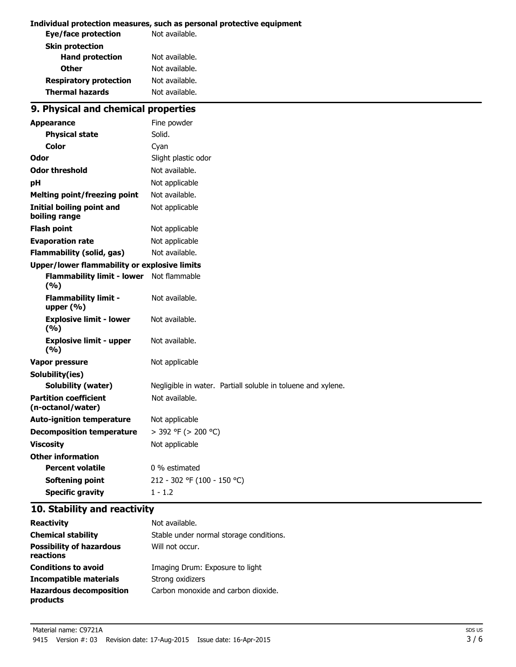#### **Individual protection measures, such as personal protective equipment**

| Eye/face protection           | Not available. |
|-------------------------------|----------------|
| <b>Skin protection</b>        |                |
| <b>Hand protection</b>        | Not available. |
| <b>Other</b>                  | Not available. |
| <b>Respiratory protection</b> | Not available. |
| <b>Thermal hazards</b>        | Not available. |
|                               |                |

# **9. Physical and chemical properties**

| <b>Appearance</b>                                   | Fine powder                                                  |
|-----------------------------------------------------|--------------------------------------------------------------|
| <b>Physical state</b>                               | Solid.                                                       |
| Color                                               | Cyan                                                         |
| Odor                                                | Slight plastic odor                                          |
| <b>Odor threshold</b>                               | Not available.                                               |
| рH                                                  | Not applicable                                               |
| <b>Melting point/freezing point</b>                 | Not available.                                               |
| <b>Initial boiling point and</b><br>boiling range   | Not applicable                                               |
| <b>Flash point</b>                                  | Not applicable                                               |
| <b>Evaporation rate</b>                             | Not applicable                                               |
| <b>Flammability (solid, gas)</b>                    | Not available.                                               |
| <b>Upper/lower flammability or explosive limits</b> |                                                              |
| <b>Flammability limit - lower</b><br>(%)            | Not flammable                                                |
| <b>Flammability limit -</b><br>upper $(% )$         | Not available.                                               |
| <b>Explosive limit - lower</b><br>(%)               | Not available.                                               |
| <b>Explosive limit - upper</b><br>(9/6)             | Not available.                                               |
| Vapor pressure                                      | Not applicable                                               |
| Solubility(ies)                                     |                                                              |
| <b>Solubility (water)</b>                           | Negligible in water. Partiall soluble in toluene and xylene. |
| <b>Partition coefficient</b><br>(n-octanol/water)   | Not available.                                               |
| <b>Auto-ignition temperature</b>                    | Not applicable                                               |
| <b>Decomposition temperature</b>                    | > 392 °F (> 200 °C)                                          |
| <b>Viscosity</b>                                    | Not applicable                                               |
| <b>Other information</b>                            |                                                              |
| <b>Percent volatile</b>                             | 0 % estimated                                                |
| <b>Softening point</b>                              | 212 - 302 °F (100 - 150 °C)                                  |
| <b>Specific gravity</b>                             | $1 - 1.2$                                                    |

# **10. Stability and reactivity**

| <b>Reactivity</b>                            | Not available.                          |
|----------------------------------------------|-----------------------------------------|
| <b>Chemical stability</b>                    | Stable under normal storage conditions. |
| <b>Possibility of hazardous</b><br>reactions | Will not occur.                         |
| <b>Conditions to avoid</b>                   | Imaging Drum: Exposure to light         |
| Incompatible materials                       | Strong oxidizers                        |
| <b>Hazardous decomposition</b><br>products   | Carbon monoxide and carbon dioxide.     |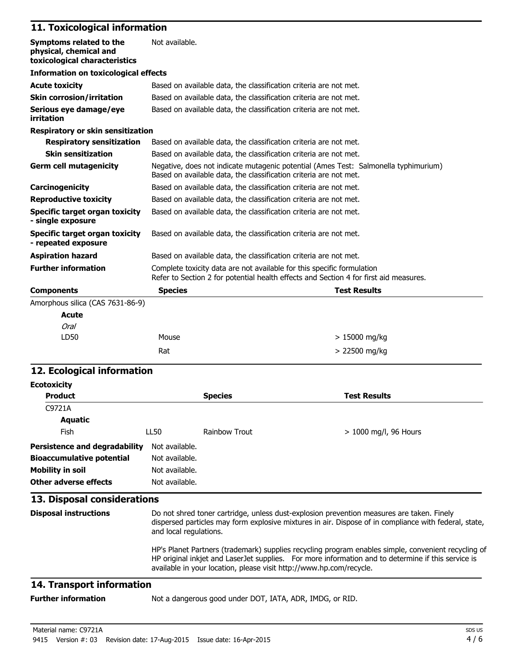# **11. Toxicological information**

| Symptoms related to the<br>physical, chemical and<br>toxicological characteristics | Not available.                                                                                                                                                  |                     |
|------------------------------------------------------------------------------------|-----------------------------------------------------------------------------------------------------------------------------------------------------------------|---------------------|
| <b>Information on toxicological effects</b>                                        |                                                                                                                                                                 |                     |
| <b>Acute toxicity</b>                                                              | Based on available data, the classification criteria are not met.                                                                                               |                     |
| <b>Skin corrosion/irritation</b>                                                   | Based on available data, the classification criteria are not met.                                                                                               |                     |
| Serious eye damage/eye<br>irritation                                               | Based on available data, the classification criteria are not met.                                                                                               |                     |
| <b>Respiratory or skin sensitization</b>                                           |                                                                                                                                                                 |                     |
| <b>Respiratory sensitization</b>                                                   | Based on available data, the classification criteria are not met.                                                                                               |                     |
| <b>Skin sensitization</b>                                                          | Based on available data, the classification criteria are not met.                                                                                               |                     |
| <b>Germ cell mutagenicity</b>                                                      | Negative, does not indicate mutagenic potential (Ames Test: Salmonella typhimurium)<br>Based on available data, the classification criteria are not met.        |                     |
| Carcinogenicity                                                                    | Based on available data, the classification criteria are not met.                                                                                               |                     |
| <b>Reproductive toxicity</b>                                                       | Based on available data, the classification criteria are not met.                                                                                               |                     |
| <b>Specific target organ toxicity</b><br>- single exposure                         | Based on available data, the classification criteria are not met.                                                                                               |                     |
| Specific target organ toxicity<br>- repeated exposure                              | Based on available data, the classification criteria are not met.                                                                                               |                     |
| <b>Aspiration hazard</b>                                                           | Based on available data, the classification criteria are not met.                                                                                               |                     |
| <b>Further information</b>                                                         | Complete toxicity data are not available for this specific formulation<br>Refer to Section 2 for potential health effects and Section 4 for first aid measures. |                     |
| <b>Components</b>                                                                  | <b>Species</b>                                                                                                                                                  | <b>Test Results</b> |
| Amorphous silica (CAS 7631-86-9)                                                   |                                                                                                                                                                 |                     |
| <b>Acute</b>                                                                       |                                                                                                                                                                 |                     |
| <b>Oral</b>                                                                        |                                                                                                                                                                 |                     |
| LD50                                                                               | Mouse                                                                                                                                                           | $>15000$ mg/kg      |
|                                                                                    | Rat                                                                                                                                                             | > 22500 mg/kg       |

## **12. Ecological information**

| <b>Ecotoxicity</b>                                                                                             |                                                                                                                                                                                                                                                                                  |                |                         |
|----------------------------------------------------------------------------------------------------------------|----------------------------------------------------------------------------------------------------------------------------------------------------------------------------------------------------------------------------------------------------------------------------------|----------------|-------------------------|
| <b>Product</b>                                                                                                 |                                                                                                                                                                                                                                                                                  | <b>Species</b> | <b>Test Results</b>     |
| C9721A                                                                                                         |                                                                                                                                                                                                                                                                                  |                |                         |
| Aquatic                                                                                                        |                                                                                                                                                                                                                                                                                  |                |                         |
| Fish                                                                                                           | LL50                                                                                                                                                                                                                                                                             | Rainbow Trout  | $> 1000$ mg/l, 96 Hours |
| Persistence and degradability<br><b>Bioaccumulative potential</b><br>Mobility in soil<br>Other adverse effects | Not available.<br>Not available.<br>Not available.<br>Not available.                                                                                                                                                                                                             |                |                         |
| 13. Disposal considerations                                                                                    |                                                                                                                                                                                                                                                                                  |                |                         |
| <b>Disposal instructions</b>                                                                                   | Do not shred toner cartridge, unless dust-explosion prevention measures are taken. Finely<br>dispersed particles may form explosive mixtures in air. Dispose of in compliance with federal, state,<br>and local regulations.                                                     |                |                         |
|                                                                                                                | HP's Planet Partners (trademark) supplies recycling program enables simple, convenient recycling of<br>HP original inkjet and LaserJet supplies. For more information and to determine if this service is<br>available in your location, please visit http://www.hp.com/recycle. |                |                         |

# **14. Transport information**

**Further information** Not a dangerous good under DOT, IATA, ADR, IMDG, or RID.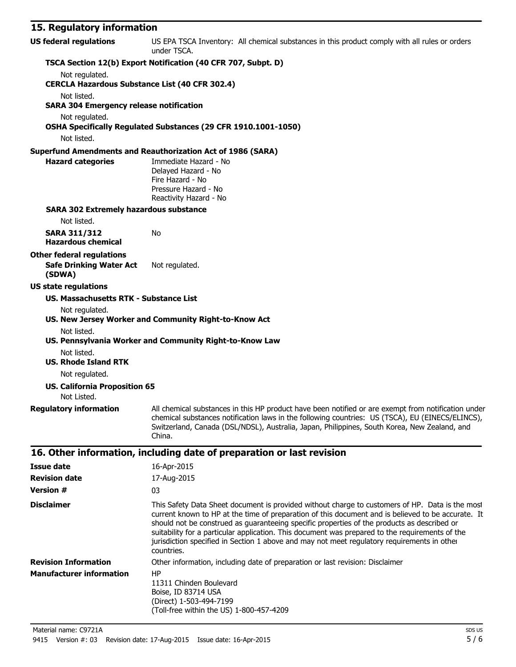## **15. Regulatory information**

| <b>US federal regulations</b>                         | US EPA TSCA Inventory: All chemical substances in this product comply with all rules or orders<br>under TSCA.                                                                                                                                                                                                                            |
|-------------------------------------------------------|------------------------------------------------------------------------------------------------------------------------------------------------------------------------------------------------------------------------------------------------------------------------------------------------------------------------------------------|
|                                                       | TSCA Section 12(b) Export Notification (40 CFR 707, Subpt. D)                                                                                                                                                                                                                                                                            |
| Not regulated.                                        |                                                                                                                                                                                                                                                                                                                                          |
| <b>CERCLA Hazardous Substance List (40 CFR 302.4)</b> |                                                                                                                                                                                                                                                                                                                                          |
| Not listed.                                           |                                                                                                                                                                                                                                                                                                                                          |
| <b>SARA 304 Emergency release notification</b>        |                                                                                                                                                                                                                                                                                                                                          |
| Not regulated.                                        |                                                                                                                                                                                                                                                                                                                                          |
|                                                       | OSHA Specifically Regulated Substances (29 CFR 1910.1001-1050)                                                                                                                                                                                                                                                                           |
| Not listed.                                           |                                                                                                                                                                                                                                                                                                                                          |
|                                                       | <b>Superfund Amendments and Reauthorization Act of 1986 (SARA)</b>                                                                                                                                                                                                                                                                       |
| <b>Hazard categories</b>                              | Immediate Hazard - No<br>Delayed Hazard - No                                                                                                                                                                                                                                                                                             |
|                                                       | Fire Hazard - No                                                                                                                                                                                                                                                                                                                         |
|                                                       | Pressure Hazard - No                                                                                                                                                                                                                                                                                                                     |
|                                                       | Reactivity Hazard - No                                                                                                                                                                                                                                                                                                                   |
| <b>SARA 302 Extremely hazardous substance</b>         |                                                                                                                                                                                                                                                                                                                                          |
| Not listed.                                           |                                                                                                                                                                                                                                                                                                                                          |
| <b>SARA 311/312</b>                                   | No                                                                                                                                                                                                                                                                                                                                       |
| <b>Hazardous chemical</b>                             |                                                                                                                                                                                                                                                                                                                                          |
| <b>Other federal regulations</b>                      |                                                                                                                                                                                                                                                                                                                                          |
| <b>Safe Drinking Water Act</b><br>(SDWA)              | Not regulated.                                                                                                                                                                                                                                                                                                                           |
| <b>US state regulations</b>                           |                                                                                                                                                                                                                                                                                                                                          |
| <b>US. Massachusetts RTK - Substance List</b>         |                                                                                                                                                                                                                                                                                                                                          |
| Not regulated.                                        |                                                                                                                                                                                                                                                                                                                                          |
|                                                       | US. New Jersey Worker and Community Right-to-Know Act                                                                                                                                                                                                                                                                                    |
| Not listed.                                           |                                                                                                                                                                                                                                                                                                                                          |
|                                                       | US. Pennsylvania Worker and Community Right-to-Know Law                                                                                                                                                                                                                                                                                  |
| Not listed.                                           |                                                                                                                                                                                                                                                                                                                                          |
| <b>US. Rhode Island RTK</b>                           |                                                                                                                                                                                                                                                                                                                                          |
| Not regulated.                                        |                                                                                                                                                                                                                                                                                                                                          |
| <b>US. California Proposition 65</b>                  |                                                                                                                                                                                                                                                                                                                                          |
| Not Listed.                                           |                                                                                                                                                                                                                                                                                                                                          |
|                                                       | Regulatory information All chemical substances in this HP product have been notified or are exempt from notification under<br>chemical substances notification laws in the following countries: US (TSCA), EU (EINECS/ELINCS),<br>Switzerland, Canada (DSL/NDSL), Australia, Japan, Philippines, South Korea, New Zealand, and<br>China. |
|                                                       | 16. Other information, including date of preparation or last revision                                                                                                                                                                                                                                                                    |
| <b>Issue date</b>                                     | 16-Apr-2015                                                                                                                                                                                                                                                                                                                              |
| <b>Revision date</b>                                  | 17-Aug-2015                                                                                                                                                                                                                                                                                                                              |
|                                                       |                                                                                                                                                                                                                                                                                                                                          |

| <b>Version #</b>                | 03                                                                                                                                                                                                                                                                                                                                                                                                                                                                                                                   |
|---------------------------------|----------------------------------------------------------------------------------------------------------------------------------------------------------------------------------------------------------------------------------------------------------------------------------------------------------------------------------------------------------------------------------------------------------------------------------------------------------------------------------------------------------------------|
| <b>Disclaimer</b>               | This Safety Data Sheet document is provided without charge to customers of HP. Data is the most<br>current known to HP at the time of preparation of this document and is believed to be accurate. It<br>should not be construed as quaranteeing specific properties of the products as described or<br>suitability for a particular application. This document was prepared to the requirements of the<br>jurisdiction specified in Section 1 above and may not meet regulatory requirements in other<br>countries. |
| <b>Revision Information</b>     | Other information, including date of preparation or last revision: Disclaimer                                                                                                                                                                                                                                                                                                                                                                                                                                        |
| <b>Manufacturer information</b> | HP<br>11311 Chinden Boulevard<br>Boise, ID 83714 USA<br>(Direct) 1-503-494-7199<br>(Toll-free within the US) 1-800-457-4209                                                                                                                                                                                                                                                                                                                                                                                          |